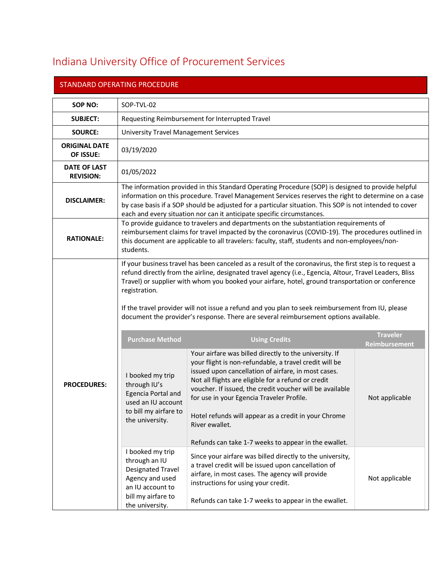## Indiana University Office of Procurement Services

| <b>STANDARD OPERATING PROCEDURE</b>     |                                                                                                                                                                                                                                                                                                                                                                                                                                                                                                                                                                                                              |                                                                                                                                                                                                                                                                                                                                                                                                                                                                                                                                        |                                 |  |
|-----------------------------------------|--------------------------------------------------------------------------------------------------------------------------------------------------------------------------------------------------------------------------------------------------------------------------------------------------------------------------------------------------------------------------------------------------------------------------------------------------------------------------------------------------------------------------------------------------------------------------------------------------------------|----------------------------------------------------------------------------------------------------------------------------------------------------------------------------------------------------------------------------------------------------------------------------------------------------------------------------------------------------------------------------------------------------------------------------------------------------------------------------------------------------------------------------------------|---------------------------------|--|
| SOP NO:                                 | SOP-TVL-02                                                                                                                                                                                                                                                                                                                                                                                                                                                                                                                                                                                                   |                                                                                                                                                                                                                                                                                                                                                                                                                                                                                                                                        |                                 |  |
| <b>SUBJECT:</b>                         | Requesting Reimbursement for Interrupted Travel                                                                                                                                                                                                                                                                                                                                                                                                                                                                                                                                                              |                                                                                                                                                                                                                                                                                                                                                                                                                                                                                                                                        |                                 |  |
| <b>SOURCE:</b>                          | <b>University Travel Management Services</b>                                                                                                                                                                                                                                                                                                                                                                                                                                                                                                                                                                 |                                                                                                                                                                                                                                                                                                                                                                                                                                                                                                                                        |                                 |  |
| <b>ORIGINAL DATE</b><br>OF ISSUE:       | 03/19/2020                                                                                                                                                                                                                                                                                                                                                                                                                                                                                                                                                                                                   |                                                                                                                                                                                                                                                                                                                                                                                                                                                                                                                                        |                                 |  |
| <b>DATE OF LAST</b><br><b>REVISION:</b> | 01/05/2022                                                                                                                                                                                                                                                                                                                                                                                                                                                                                                                                                                                                   |                                                                                                                                                                                                                                                                                                                                                                                                                                                                                                                                        |                                 |  |
| <b>DISCLAIMER:</b>                      | The information provided in this Standard Operating Procedure (SOP) is designed to provide helpful<br>information on this procedure. Travel Management Services reserves the right to determine on a case<br>by case basis if a SOP should be adjusted for a particular situation. This SOP is not intended to cover<br>each and every situation nor can it anticipate specific circumstances.                                                                                                                                                                                                               |                                                                                                                                                                                                                                                                                                                                                                                                                                                                                                                                        |                                 |  |
| <b>RATIONALE:</b>                       | To provide guidance to travelers and departments on the substantiation requirements of<br>reimbursement claims for travel impacted by the coronavirus (COVID-19). The procedures outlined in<br>this document are applicable to all travelers: faculty, staff, students and non-employees/non-<br>students.                                                                                                                                                                                                                                                                                                  |                                                                                                                                                                                                                                                                                                                                                                                                                                                                                                                                        |                                 |  |
|                                         | If your business travel has been canceled as a result of the coronavirus, the first step is to request a<br>refund directly from the airline, designated travel agency (i.e., Egencia, Altour, Travel Leaders, Bliss<br>Travel) or supplier with whom you booked your airfare, hotel, ground transportation or conference<br>registration.<br>If the travel provider will not issue a refund and you plan to seek reimbursement from IU, please<br>document the provider's response. There are several reimbursement options available.<br><b>Traveler</b><br><b>Purchase Method</b><br><b>Using Credits</b> |                                                                                                                                                                                                                                                                                                                                                                                                                                                                                                                                        |                                 |  |
| <b>PROCEDURES:</b>                      | I booked my trip<br>through IU's<br>Egencia Portal and<br>used an IU account<br>to bill my airfare to<br>the university.<br>I booked my trip<br>through an IU                                                                                                                                                                                                                                                                                                                                                                                                                                                | Your airfare was billed directly to the university. If<br>your flight is non-refundable, a travel credit will be<br>issued upon cancellation of airfare, in most cases.<br>Not all flights are eligible for a refund or credit<br>voucher. If issued, the credit voucher will be available<br>for use in your Egencia Traveler Profile.<br>Hotel refunds will appear as a credit in your Chrome<br>River ewallet.<br>Refunds can take 1-7 weeks to appear in the ewallet.<br>Since your airfare was billed directly to the university, | Reimbursement<br>Not applicable |  |
|                                         | Designated Travel<br>Agency and used<br>an IU account to<br>bill my airfare to<br>the university.                                                                                                                                                                                                                                                                                                                                                                                                                                                                                                            | a travel credit will be issued upon cancellation of<br>airfare, in most cases. The agency will provide<br>instructions for using your credit.<br>Refunds can take 1-7 weeks to appear in the ewallet.                                                                                                                                                                                                                                                                                                                                  | Not applicable                  |  |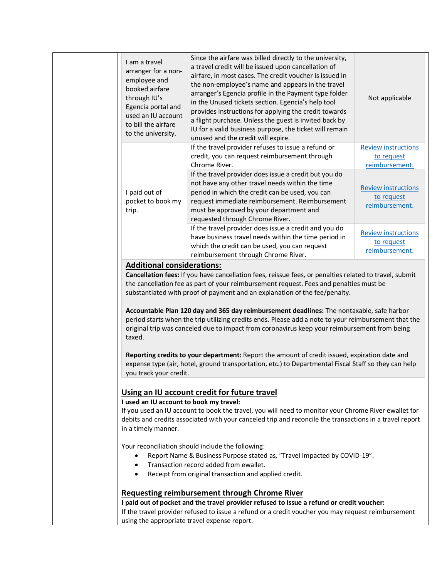<span id="page-1-0"></span>

| I am a travel<br>arranger for a non-<br>employee and<br>booked airfare<br>through IU's<br>Egencia portal and<br>used an IU account<br>to bill the airfare<br>to the university.                                                                                                                                                                                                                                                                                                                                                                                                                                                                                                                                        | Since the airfare was billed directly to the university,<br>a travel credit will be issued upon cancellation of<br>airfare, in most cases. The credit voucher is issued in<br>the non-employee's name and appears in the travel<br>arranger's Egencia profile in the Payment type folder<br>in the Unused tickets section. Egencia's help tool<br>provides instructions for applying the credit towards<br>a flight purchase. Unless the guest is invited back by<br>IU for a valid business purpose, the ticket will remain<br>unused and the credit will expire. | Not applicable                                             |
|------------------------------------------------------------------------------------------------------------------------------------------------------------------------------------------------------------------------------------------------------------------------------------------------------------------------------------------------------------------------------------------------------------------------------------------------------------------------------------------------------------------------------------------------------------------------------------------------------------------------------------------------------------------------------------------------------------------------|--------------------------------------------------------------------------------------------------------------------------------------------------------------------------------------------------------------------------------------------------------------------------------------------------------------------------------------------------------------------------------------------------------------------------------------------------------------------------------------------------------------------------------------------------------------------|------------------------------------------------------------|
|                                                                                                                                                                                                                                                                                                                                                                                                                                                                                                                                                                                                                                                                                                                        | If the travel provider refuses to issue a refund or<br>credit, you can request reimbursement through<br>Chrome River.                                                                                                                                                                                                                                                                                                                                                                                                                                              | <b>Review instructions</b><br>to request<br>reimbursement. |
| I paid out of<br>pocket to book my<br>trip.                                                                                                                                                                                                                                                                                                                                                                                                                                                                                                                                                                                                                                                                            | If the travel provider does issue a credit but you do<br>not have any other travel needs within the time<br>period in which the credit can be used, you can<br>request immediate reimbursement. Reimbursement<br>must be approved by your department and<br>requested through Chrome River.                                                                                                                                                                                                                                                                        | <b>Review instructions</b><br>to request<br>reimbursement. |
|                                                                                                                                                                                                                                                                                                                                                                                                                                                                                                                                                                                                                                                                                                                        | If the travel provider does issue a credit and you do<br>have business travel needs within the time period in<br>which the credit can be used, you can request<br>reimbursement through Chrome River.                                                                                                                                                                                                                                                                                                                                                              | <b>Review instructions</b><br>to request<br>reimbursement. |
| <b>Additional considerations:</b>                                                                                                                                                                                                                                                                                                                                                                                                                                                                                                                                                                                                                                                                                      | Cancellation fees: If you have cancellation fees, reissue fees, or penalties related to travel, submit                                                                                                                                                                                                                                                                                                                                                                                                                                                             |                                                            |
| the cancellation fee as part of your reimbursement request. Fees and penalties must be<br>substantiated with proof of payment and an explanation of the fee/penalty.<br>Accountable Plan 120 day and 365 day reimbursement deadlines: The nontaxable, safe harbor<br>period starts when the trip utilizing credits ends. Please add a note to your reimbursement that the<br>original trip was canceled due to impact from coronavirus keep your reimbursement from being<br>taxed.<br>Reporting credits to your department: Report the amount of credit issued, expiration date and<br>expense type (air, hotel, ground transportation, etc.) to Departmental Fiscal Staff so they can help<br>you track your credit. |                                                                                                                                                                                                                                                                                                                                                                                                                                                                                                                                                                    |                                                            |
| Using an IU account credit for future travel<br>I used an IU account to book my travel:<br>If you used an IU account to book the travel, you will need to monitor your Chrome River ewallet for<br>debits and credits associated with your canceled trip and reconcile the transactions in a travel report<br>in a timely manner.                                                                                                                                                                                                                                                                                                                                                                                      |                                                                                                                                                                                                                                                                                                                                                                                                                                                                                                                                                                    |                                                            |
| Your reconciliation should include the following:<br>Report Name & Business Purpose stated as, "Travel Impacted by COVID-19".<br>$\bullet$<br>Transaction record added from ewallet.<br>$\bullet$<br>Receipt from original transaction and applied credit.<br>$\bullet$                                                                                                                                                                                                                                                                                                                                                                                                                                                |                                                                                                                                                                                                                                                                                                                                                                                                                                                                                                                                                                    |                                                            |
|                                                                                                                                                                                                                                                                                                                                                                                                                                                                                                                                                                                                                                                                                                                        | <b>Requesting reimbursement through Chrome River</b>                                                                                                                                                                                                                                                                                                                                                                                                                                                                                                               |                                                            |
| I paid out of pocket and the travel provider refused to issue a refund or credit voucher:<br>If the travel provider refused to issue a refund or a credit voucher you may request reimbursement<br>using the appropriate travel expense report.                                                                                                                                                                                                                                                                                                                                                                                                                                                                        |                                                                                                                                                                                                                                                                                                                                                                                                                                                                                                                                                                    |                                                            |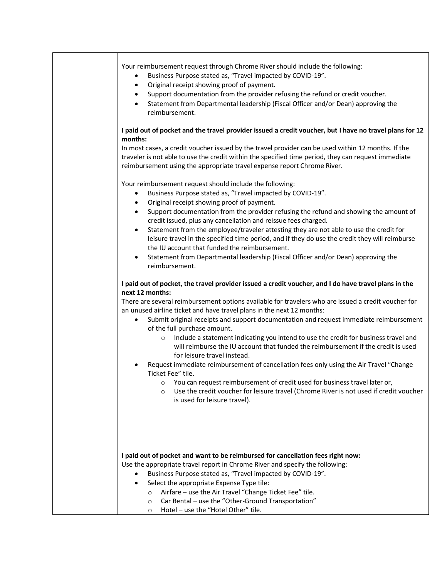<span id="page-2-1"></span><span id="page-2-0"></span>

| Your reimbursement request through Chrome River should include the following:<br>Business Purpose stated as, "Travel impacted by COVID-19".<br>٠<br>Original receipt showing proof of payment.<br>$\bullet$<br>Support documentation from the provider refusing the refund or credit voucher.<br>$\bullet$<br>Statement from Departmental leadership (Fiscal Officer and/or Dean) approving the<br>$\bullet$<br>reimbursement.                                                                                                                                                                                                                                                                                                                                                                                                                                                                                                                                                                                   |
|------------------------------------------------------------------------------------------------------------------------------------------------------------------------------------------------------------------------------------------------------------------------------------------------------------------------------------------------------------------------------------------------------------------------------------------------------------------------------------------------------------------------------------------------------------------------------------------------------------------------------------------------------------------------------------------------------------------------------------------------------------------------------------------------------------------------------------------------------------------------------------------------------------------------------------------------------------------------------------------------------------------|
| I paid out of pocket and the travel provider issued a credit voucher, but I have no travel plans for 12<br>months:<br>In most cases, a credit voucher issued by the travel provider can be used within 12 months. If the<br>traveler is not able to use the credit within the specified time period, they can request immediate<br>reimbursement using the appropriate travel expense report Chrome River.                                                                                                                                                                                                                                                                                                                                                                                                                                                                                                                                                                                                       |
| Your reimbursement request should include the following:<br>Business Purpose stated as, "Travel impacted by COVID-19".<br>٠<br>Original receipt showing proof of payment.<br>$\bullet$<br>Support documentation from the provider refusing the refund and showing the amount of<br>$\bullet$<br>credit issued, plus any cancellation and reissue fees charged.<br>Statement from the employee/traveler attesting they are not able to use the credit for<br>٠<br>leisure travel in the specified time period, and if they do use the credit they will reimburse<br>the IU account that funded the reimbursement.<br>Statement from Departmental leadership (Fiscal Officer and/or Dean) approving the<br>reimbursement.                                                                                                                                                                                                                                                                                          |
| I paid out of pocket, the travel provider issued a credit voucher, and I do have travel plans in the<br>next 12 months:<br>There are several reimbursement options available for travelers who are issued a credit voucher for<br>an unused airline ticket and have travel plans in the next 12 months:<br>Submit original receipts and support documentation and request immediate reimbursement<br>$\bullet$<br>of the full purchase amount.<br>Include a statement indicating you intend to use the credit for business travel and<br>$\circ$<br>will reimburse the IU account that funded the reimbursement if the credit is used<br>for leisure travel instead.<br>Request immediate reimbursement of cancellation fees only using the Air Travel "Change<br>Ticket Fee" tile.<br>You can request reimbursement of credit used for business travel later or,<br>$\circ$<br>Use the credit voucher for leisure travel (Chrome River is not used if credit voucher<br>$\circ$<br>is used for leisure travel). |
| I paid out of pocket and want to be reimbursed for cancellation fees right now:<br>Use the appropriate travel report in Chrome River and specify the following:<br>Business Purpose stated as, "Travel impacted by COVID-19".<br>Select the appropriate Expense Type tile:<br>$\bullet$<br>Airfare - use the Air Travel "Change Ticket Fee" tile.<br>$\circ$<br>Car Rental - use the "Other-Ground Transportation"<br>$\circ$<br>Hotel - use the "Hotel Other" tile.<br>$\circ$                                                                                                                                                                                                                                                                                                                                                                                                                                                                                                                                  |